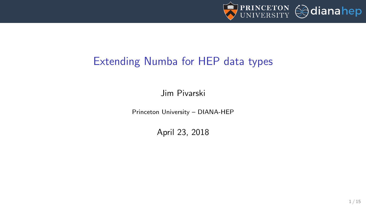

## Extending Numba for HEP data types

Jim Pivarski

Princeton University – DIANA-HEP

April 23, 2018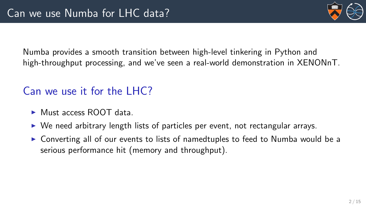

Numba provides a smooth transition between high-level tinkering in Python and high-throughput processing, and we've seen a real-world demonstration in XENONnT.

# Can we use it for the LHC?

- $\blacktriangleright$  Must access ROOT data.
- $\triangleright$  We need arbitrary length lists of particles per event, not rectangular arrays.
- $\triangleright$  Converting all of our events to lists of namedtuples to feed to Numba would be a serious performance hit (memory and throughput).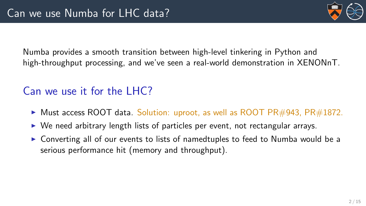

Numba provides a smooth transition between high-level tinkering in Python and high-throughput processing, and we've seen a real-world demonstration in XENONnT.

# Can we use it for the LHC?

- In Must access ROOT data. Solution: uproot, as well as ROOT PR#943, PR#1872.
- $\triangleright$  We need arbitrary length lists of particles per event, not rectangular arrays.
- $\triangleright$  Converting all of our events to lists of namedtuples to feed to Numba would be a serious performance hit (memory and throughput).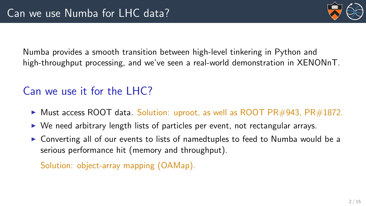

Numba provides a smooth transition between high-level tinkering in Python and high-throughput processing, and we've seen a real-world demonstration in XENONnT.

# Can we use it for the LHC?

- In Must access ROOT data. Solution: uproot, as well as ROOT PR#943, PR#1872.
- $\triangleright$  We need arbitrary length lists of particles per event, not rectangular arrays.
- $\triangleright$  Converting all of our events to lists of namedtuples to feed to Numba would be a serious performance hit (memory and throughput).

Solution: object-array mapping (OAMap).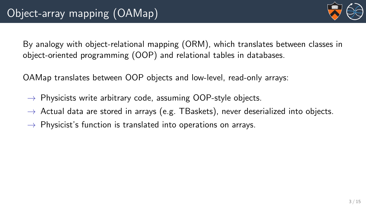

By analogy with object-relational mapping (ORM), which translates between classes in object-oriented programming (OOP) and relational tables in databases.

OAMap translates between OOP objects and low-level, read-only arrays:

- $\rightarrow$  Physicists write arbitrary code, assuming OOP-style objects.
- $\rightarrow$  Actual data are stored in arrays (e.g. TBaskets), never deserialized into objects.
- $\rightarrow$  Physicist's function is translated into operations on arrays.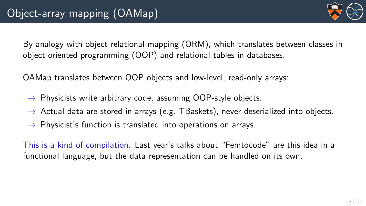

By analogy with object-relational mapping (ORM), which translates between classes in object-oriented programming (OOP) and relational tables in databases.

OAMap translates between OOP objects and low-level, read-only arrays:

- $\rightarrow$  Physicists write arbitrary code, assuming OOP-style objects.
- $\rightarrow$  Actual data are stored in arrays (e.g. TBaskets), never deserialized into objects.
- $\rightarrow$  Physicist's function is translated into operations on arrays.

This is a kind of compilation. Last year's talks about "Femtocode" are this idea in a functional language, but the data representation can be handled on its own.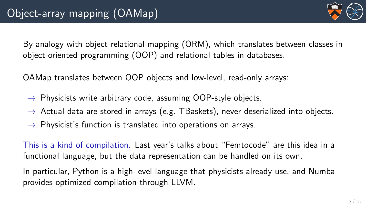By analogy with object-relational mapping (ORM), which translates between classes in object-oriented programming (OOP) and relational tables in databases.

OAMap translates between OOP objects and low-level, read-only arrays:

- $\rightarrow$  Physicists write arbitrary code, assuming OOP-style objects.
- $\rightarrow$  Actual data are stored in arrays (e.g. TBaskets), never deserialized into objects.
- $\rightarrow$  Physicist's function is translated into operations on arrays.

This is a kind of compilation. Last year's talks about "Femtocode" are this idea in a functional language, but the data representation can be handled on its own.

In particular, Python is a high-level language that physicists already use, and Numba provides optimized compilation through LLVM.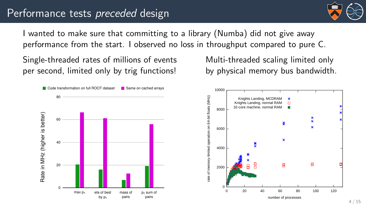## Performance tests preceded design



I wanted to make sure that committing to a library (Numba) did not give away performance from the start. I observed no loss in throughput compared to pure C.

Single-threaded rates of millions of events per second, limited only by trig functions!



Multi-threaded scaling limited only by physical memory bus bandwidth.

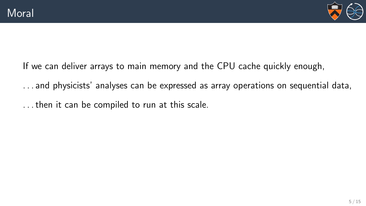

If we can deliver arrays to main memory and the CPU cache quickly enough,

. . . and physicists' analyses can be expressed as array operations on sequential data,

. . . then it can be compiled to run at this scale.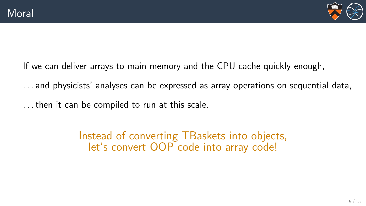

If we can deliver arrays to main memory and the CPU cache quickly enough,

. . . and physicists' analyses can be expressed as array operations on sequential data,

. . . then it can be compiled to run at this scale.

Instead of converting TBaskets into objects, let's convert OOP code into array code!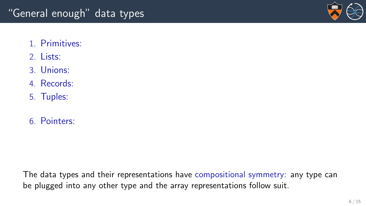

- 1. Primitives:
- 2. Lists:
- 3. Unions:
- 4. Records:
- 5. Tuples:
- 6. Pointers: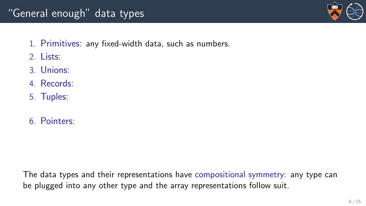## "General enough" data types



- 1. Primitives: any fixed-width data, such as numbers.
- 2. Lists:
- 3. Unions:
- 4. Records:
- 5. Tuples:
- 6. Pointers: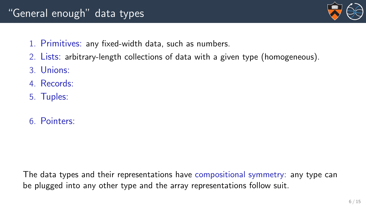## "General enough" data types



- 1. Primitives: any fixed-width data, such as numbers.
- 2. Lists: arbitrary-length collections of data with a given type (homogeneous).
- 3. Unions:
- 4. Records:
- 5. Tuples:
- 6. Pointers: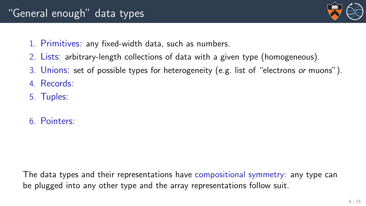## "General enough" data types



- 1. Primitives: any fixed-width data, such as numbers.
- 2. Lists: arbitrary-length collections of data with a given type (homogeneous).
- 3. Unions: set of possible types for heterogeneity (e.g. list of "electrons or muons").
- 4. Records:
- 5. Tuples:
- 6. Pointers: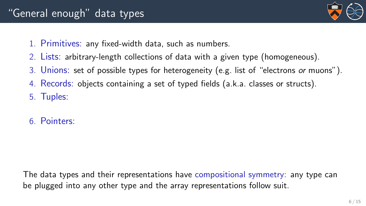

- 1. Primitives: any fixed-width data, such as numbers.
- 2. Lists: arbitrary-length collections of data with a given type (homogeneous).
- 3. Unions: set of possible types for heterogeneity (e.g. list of "electrons or muons").
- 4. Records: objects containing a set of typed fields (a.k.a. classes or structs).
- 5. Tuples:
- 6. Pointers: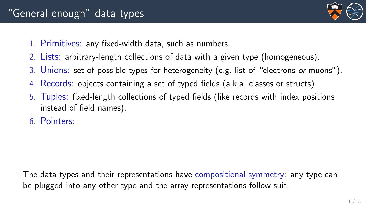

- 1. Primitives: any fixed-width data, such as numbers.
- 2. Lists: arbitrary-length collections of data with a given type (homogeneous).
- 3. Unions: set of possible types for heterogeneity (e.g. list of "electrons or muons").
- 4. Records: objects containing a set of typed fields (a.k.a. classes or structs).
- 5. Tuples: fixed-length collections of typed fields (like records with index positions instead of field names).
- 6. Pointers: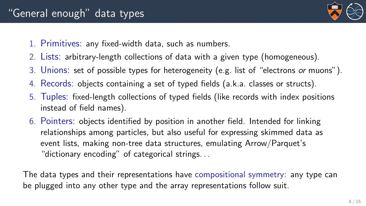

- 1. Primitives: any fixed-width data, such as numbers.
- 2. Lists: arbitrary-length collections of data with a given type (homogeneous).
- 3. Unions: set of possible types for heterogeneity (e.g. list of "electrons or muons").
- 4. Records: objects containing a set of typed fields (a.k.a. classes or structs).
- 5. Tuples: fixed-length collections of typed fields (like records with index positions instead of field names).
- 6. Pointers: objects identified by position in another field. Intended for linking relationships among particles, but also useful for expressing skimmed data as event lists, making non-tree data structures, emulating Arrow/Parquet's "dictionary encoding" of categorical strings. . .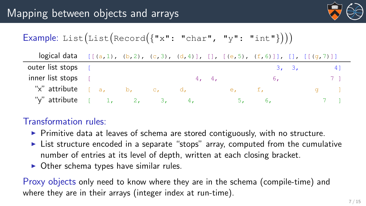

## Example: List(List(Record( $\{ "x": "char", "y": "int" } ) )$ )

| logical data $[(a,1), (b,2), (c,3), (d,4)], [1, [(e,5), (f,6)]], [1, [1(q,7)]]$ |    |          |       |       |    |       |    |  |
|---------------------------------------------------------------------------------|----|----------|-------|-------|----|-------|----|--|
| outer list stops [                                                              |    |          |       |       |    | 3, 3, | 41 |  |
| inner list stops [                                                              |    |          | 4, 4, |       | 6. |       |    |  |
| "x" attribute                                                                   | a. | b, c, d, |       | e. f. |    |       |    |  |
| "y" attribute $\begin{bmatrix} 1, & 2, & 3, & 4, \end{bmatrix}$                 |    |          |       |       | 6. |       |    |  |

## Transformation rules:

- $\triangleright$  Primitive data at leaves of schema are stored contiguously, with no structure.
- $\triangleright$  List structure encoded in a separate "stops" array, computed from the cumulative number of entries at its level of depth, written at each closing bracket.
- $\triangleright$  Other schema types have similar rules.

Proxy objects only need to know where they are in the schema (compile-time) and where they are in their arrays (integer index at run-time).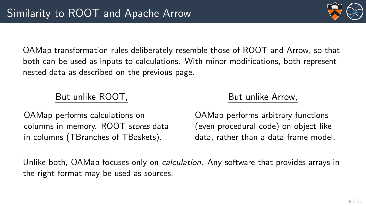OAMap transformation rules deliberately resemble those of ROOT and Arrow, so that both can be used as inputs to calculations. With minor modifications, both represent nested data as described on the previous page.

## But unlike ROOT,

OAMap performs calculations on columns in memory. ROOT stores data in columns (TBranches of TBaskets).

## But unlike Arrow,

OAMap performs arbitrary functions (even procedural code) on object-like data, rather than a data-frame model.

Unlike both, OAMap focuses only on *calculation*. Any software that provides arrays in the right format may be used as sources.

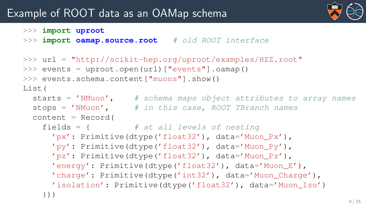## Example of ROOT data as an OAMap schema



```
>>> import uproot
```
>>> **import oamap.source.root** # old ROOT interface

```
>>> url = "http://scikit-hep.org/uproot/examples/HZZ.root"
>>> events = uproot.open(url)["events"].oamap()
>>> events.schema.content["muons"].show()
List(
  starts = 'NMuon', # schema maps object attributes to array names
  stops = 'NMuon', \# in this case, ROOT TBranch names
  content = Record(fields = {# at all levels of nesting'px': Primitive(dtype('float32'), data='Muon_Px'),
      'py': Primitive(dtype('float32'), data='Muon_Py'),
      'pz': Primitive(dtype('float32'), data='Muon_Pz'),
      'energy': Primitive(dtype('float32'), data='Muon_E'),
      'charge': Primitive(dtype('int32'), data='Muon_Charge'),
      'isolation': Primitive(dtype('float32'), data='Muon_Iso')
    }))
```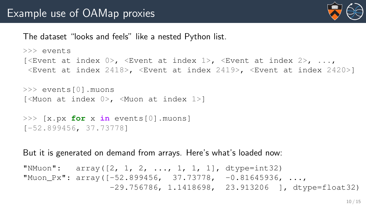

#### The dataset "looks and feels" like a nested Python list.

```
>>> events
[<Event at index 0>, <Event at index 1>, <Event at index 2>, ...,
 <Event at index 2418>, <Event at index 2419>, <Event at index 2420>]
```

```
>>> events[0].muons
[<Muon at index 0>, <Muon at index 1>]
```

```
>>> [x.px for x in events[0].muons]
[-52.899456, 37.73778]
```
But it is generated on demand from arrays. Here's what's loaded now:

```
"NMuon": array([2, 1, 2, ..., 1, 1, 1], dtype=int32)
"Muon Px": array([-52.899456, 37.73778, -0.81645936, ...]-29.756786, 1.1418698, 23.913206 ], dtype=float32)
```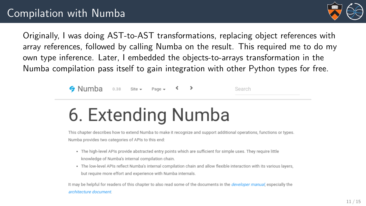

Originally, I was doing AST-to-AST transformations, replacing object references with array references, followed by calling Numba on the result. This required me to do my own type inference. Later, I embedded the objects-to-arrays transformation in the Numba compilation pass itself to gain integration with other Python types for free.

> $\triangle$  Numba 0.38 Site = Page -

Search

# 6. Extending Numba

This chapter describes how to extend Numba to make it recognize and support additional operations, functions or types, Numba provides two categories of APIs to this end:

- . The high-level APIs provide abstracted entry points which are sufficient for simple uses. They require little knowledge of Numba's internal compilation chain.
- . The low-level APIs reflect Numba's internal compilation chain and allow flexible interaction with its various layers, but require more effort and experience with Numba internals.

It may be helpful for readers of this chapter to also read some of the documents in the developer manual, especially the architecture document.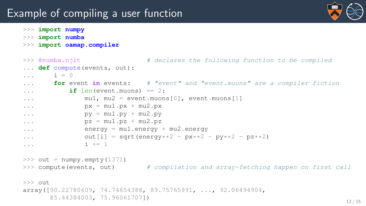## Example of compiling a user function



- >>> **import numpy**
- >>> **import numba**
- >>> **import oamap.compiler**

```
>>> @numba.njit \# declares the following function to be compiled
... def compute(events, out):
\cdot \cdot \cdot i = 0
... for event in events: # "event" and "event.muons" are a compiler fiction
\cdot \cdot \cdot if len(event.muons) == 2:
... mu1, mu2 = event.muons[0], event.muons[1]
\ldots px = mu1.pyx + mu2.pyx\ldots py = mu1.py + mu2.py\ldots pz = mu1.pz + mu2.pz... energy = mu1.energy + mu2.energy
... \text{out}[i] = \text{sort}( \text{energy} \star \star 2 - \text{px} \star \star 2 - \text{py} \star \star 2 - \text{pz} \star \star 2)\cdots i += 1
\gg out = numpy.empty(1371)
>>> compute(events, out) # compilation and array-fetching happen on first call
>> out
array([90.22780609, 74.74654388, 89.75765991, ..., 92.06494904,
      85.44384003, 75.96061707]) 12/15
```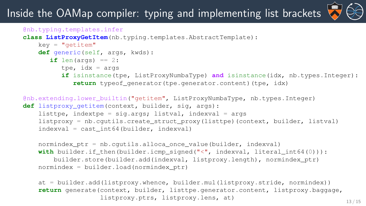# Inside the OAMap compiler: typing and implementing list brackets



```
@nb.typing.templates.infer
class ListProxyGetItem(nb.typing.templates.AbstractTemplate):
   k eV = "leftitem"def generic(self, args, kwds):
       if len(args) == 2:
         tpe, idx = argsif isinstance(tpe, ListProxyNumbaType) and isinstance(idx, nb.types.Integer):
             return typeof generator(tpe.generator.content)(tpe, idx)
@nb.extending.lower_builtin("getitem", ListProxyNumbaType, nb.types.Integer)
def listproxy_getitem(context, builder, sig, args):
   listtpe, indextpe = sig.args; listval, indexval = args
    listproxy = nb.cgutils.create_struct_proxy(listtpe)(context, builder, listval)
   indexval = cast int64(builder, indexval)
```

```
normindex_ptr = nb.cgutils.alloca_once_value(builder, indexval)
with builder.if_then(builder.icmp_signed("<", indexval, literal_int64(0))):
    builder.store(builder.add(indexval, listproxy.length), normindex_ptr)
normindex = builder.load(normindex_ptr)
```
at = builder.add(listproxy.whence, builder.mul(listproxy.stride, normindex)) **return** generate(context, builder, listtpe.generator.content, listproxy.baggage, listproxy.ptrs, listproxy.lens, at) 13/15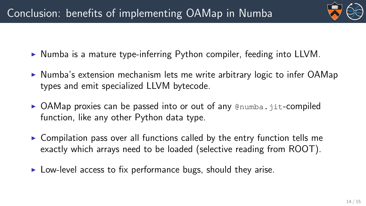

- $\triangleright$  Numba is a mature type-inferring Python compiler, feeding into LLVM.
- $\triangleright$  Numba's extension mechanism lets me write arbitrary logic to infer OAMap types and emit specialized LLVM bytecode.
- $\triangleright$  OAMap proxies can be passed into or out of any  $\mathcal{Q}_{\text{numba}}$ . jit-compiled function, like any other Python data type.
- $\triangleright$  Compilation pass over all functions called by the entry function tells me exactly which arrays need to be loaded (selective reading from ROOT).
- $\triangleright$  Low-level access to fix performance bugs, should they arise.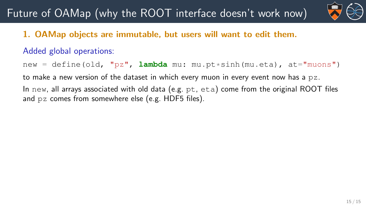# Future of OAMap (why the ROOT interface doesn't work now)



## 1. OAMap objects are immutable, but users will want to edit them.

#### Added global operations:

new = define(old, "pz", **lambda** mu: mu.pt\*sinh(mu.eta), at="muons") to make a new version of the dataset in which every muon in every event now has a  $pz$ . In new, all arrays associated with old data (e.g. pt, eta) come from the original ROOT files and pz comes from somewhere else (e.g. HDF5 files).